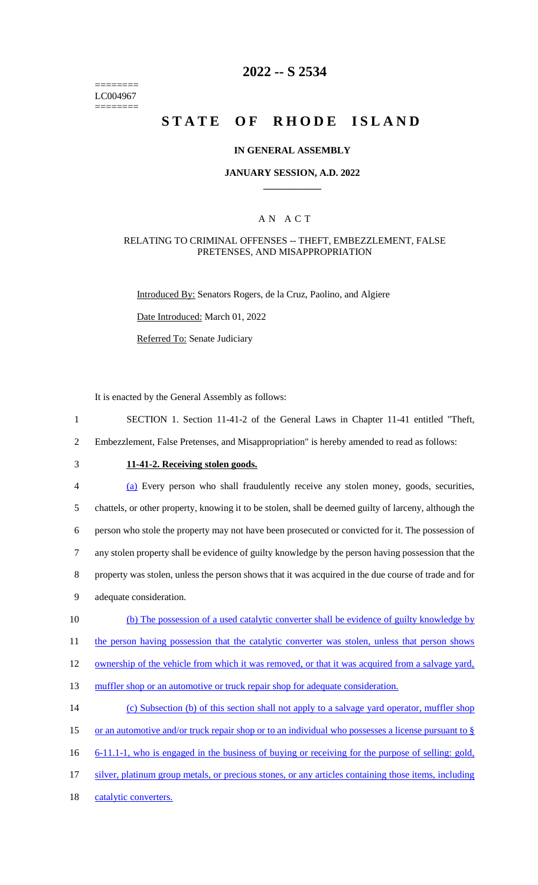======== LC004967  $=$ 

# **2022 -- S 2534**

# **STATE OF RHODE ISLAND**

### **IN GENERAL ASSEMBLY**

### **JANUARY SESSION, A.D. 2022 \_\_\_\_\_\_\_\_\_\_\_\_**

### A N A C T

#### RELATING TO CRIMINAL OFFENSES -- THEFT, EMBEZZLEMENT, FALSE PRETENSES, AND MISAPPROPRIATION

Introduced By: Senators Rogers, de la Cruz, Paolino, and Algiere

Date Introduced: March 01, 2022

Referred To: Senate Judiciary

It is enacted by the General Assembly as follows:

- 1 SECTION 1. Section 11-41-2 of the General Laws in Chapter 11-41 entitled "Theft,
- 2 Embezzlement, False Pretenses, and Misappropriation" is hereby amended to read as follows:
- 

# 3 **11-41-2. Receiving stolen goods.**

| 4      | (a) Every person who shall fraudulently receive any stolen money, goods, securities,                   |
|--------|--------------------------------------------------------------------------------------------------------|
| 5      | chattels, or other property, knowing it to be stolen, shall be deemed guilty of larceny, although the  |
| 6      | person who stole the property may not have been prosecuted or convicted for it. The possession of      |
| $\tau$ | any stolen property shall be evidence of guilty knowledge by the person having possession that the     |
| 8      | property was stolen, unless the person shows that it was acquired in the due course of trade and for   |
| 9      | adequate consideration.                                                                                |
| 10     | (b) The possession of a used catalytic converter shall be evidence of guilty knowledge by              |
| 11     | the person having possession that the catalytic converter was stolen, unless that person shows         |
| 12     | ownership of the vehicle from which it was removed, or that it was acquired from a salvage yard,       |
| 13     | muffler shop or an automotive or truck repair shop for adequate consideration.                         |
| 14     | (c) Subsection (b) of this section shall not apply to a salvage yard operator, muffler shop            |
| 15     | or an automotive and/or truck repair shop or to an individual who possesses a license pursuant to $\S$ |

- 16 6-11.1-1, who is engaged in the business of buying or receiving for the purpose of selling: gold,
- 17 silver, platinum group metals, or precious stones, or any articles containing those items, including
- 18 catalytic converters.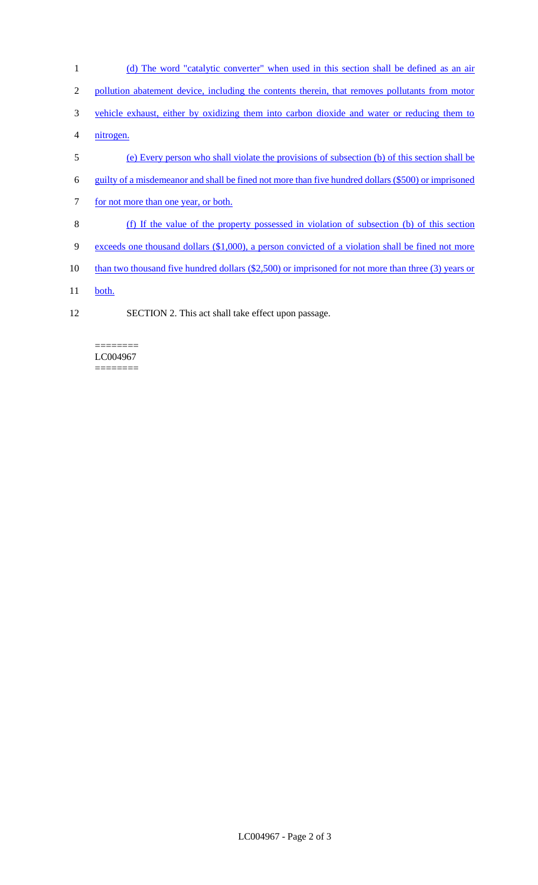- 1 (d) The word "catalytic converter" when used in this section shall be defined as an air 2 pollution abatement device, including the contents therein, that removes pollutants from motor 3 vehicle exhaust, either by oxidizing them into carbon dioxide and water or reducing them to 4 nitrogen. 5 (e) Every person who shall violate the provisions of subsection (b) of this section shall be 6 guilty of a misdemeanor and shall be fined not more than five hundred dollars (\$500) or imprisoned 7 for not more than one year, or both.
- 8 (f) If the value of the property possessed in violation of subsection (b) of this section
- 9 exceeds one thousand dollars (\$1,000), a person convicted of a violation shall be fined not more
- 10 than two thousand five hundred dollars (\$2,500) or imprisoned for not more than three (3) years or
- 11 both.
- 12 SECTION 2. This act shall take effect upon passage.

======== LC004967 ========